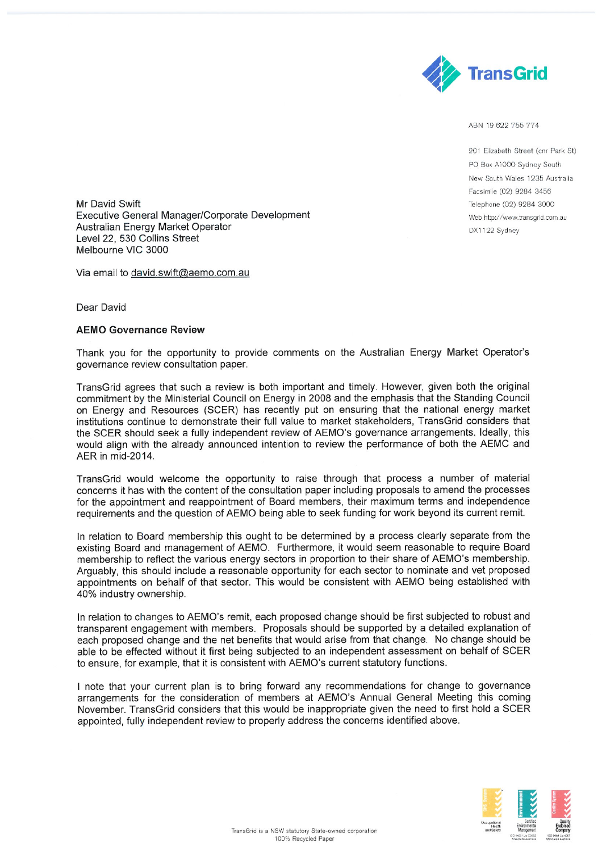

ABN 19 622 755 774

201 El'zabeth Street (cnr Park St) PO Box A1000 Sydney South New South Wales 1235 Australia Facsimile (02) 9284 3456 Telephone (02) 9284 3000 Web http://www.transgrid.com.au OX1 122 Sydney

Mr David Swift Executive General Manager/Corporate Development Australian Energy Market Operator Level 22, 530 Collins Street Melbourne VIC 3000

Via email to david.swift@aemo.com.au

Dear David

## **AEMO Governance Review**

Thank you for the opportunity to provide comments on the Australian Energy Market Operator's governance review consultation paper.

TransGrid agrees that such a review is both important and timely. However, given both the original commitment by the Ministerial Council on Energy in 2008 and the emphasis that the Standing Council on Energy and Resources (SCER) has recently put on ensuring that the national energy market institutions continue to demonstrate their full value to market stakeholders, TransGrid considers that the SCER should seek a fully independent review of AEMO's governance arrangements. Ideally, this would align with the already announced intention to review the performance of both the AEMC and AER in mid-2014.

TransGrid would welcome the opportunity to raise through that process a number of material concerns it has with the content of the consultation paper including proposals to amend the processes for the appointment and reappointment of Board members, their maximum terms and independence requirements and the question of AEMO being able to seek funding for work beyond its current remit.

In relation to Board membership this ought to be determined by a process clearly separate from the existing Board and management of AEMO. Furthermore, it would seem reasonable to require Board membership to reflect the various energy sectors in proportion to their share of AEMO's membership. Arguably, this should include a reasonable opportunity for each sector to nominate and vet proposed appointments on behalf of that sector. This would be consistent with AEMO being established with 40% industry ownership.

In relation to changes to AEMO's remit, each proposed change should be first subjected to robust and transparent engagement with members. Proposals should be supported by a detailed explanation of each proposed change and the net benefits that would arise from that change. No change should be able to be effected without it first being subjected to an independent assessment on behalf of SCER to ensure, for example, that it is consistent with AEMO's current statutory functions.

I note that your current plan is to bring forward any recommendations for change to governance arrangements for the consideration of members at AEMO's Annual General Meeting this coming November. TransGrid considers that this would be inappropriate given the need to first hold a SCER appointed, fully independent review to properly address the concerns identified above.